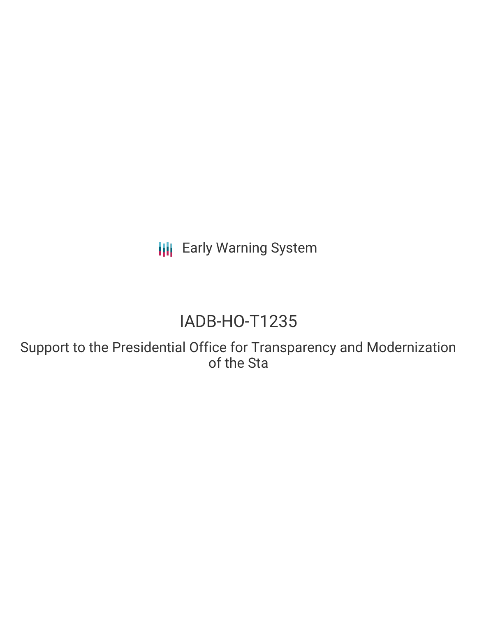**III** Early Warning System

## IADB-HO-T1235

Support to the Presidential Office for Transparency and Modernization of the Sta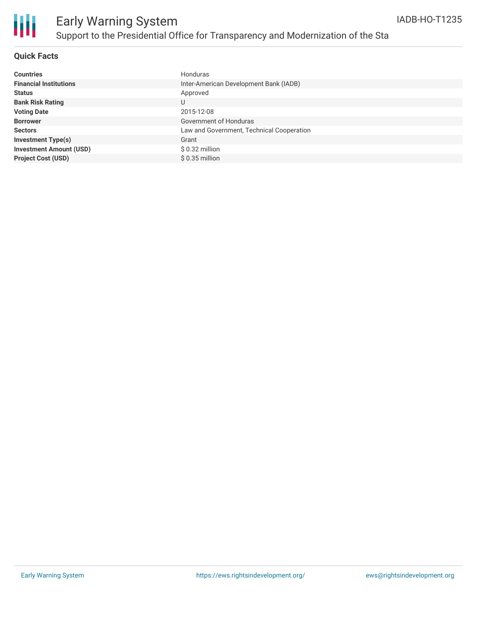

#### **Quick Facts**

| <b>Countries</b>               | Honduras                                  |
|--------------------------------|-------------------------------------------|
| <b>Financial Institutions</b>  | Inter-American Development Bank (IADB)    |
| <b>Status</b>                  | Approved                                  |
| <b>Bank Risk Rating</b>        | U                                         |
| <b>Voting Date</b>             | 2015-12-08                                |
| <b>Borrower</b>                | Government of Honduras                    |
| <b>Sectors</b>                 | Law and Government, Technical Cooperation |
| <b>Investment Type(s)</b>      | Grant                                     |
| <b>Investment Amount (USD)</b> | \$ 0.32 million                           |
| <b>Project Cost (USD)</b>      | $$0.35$ million                           |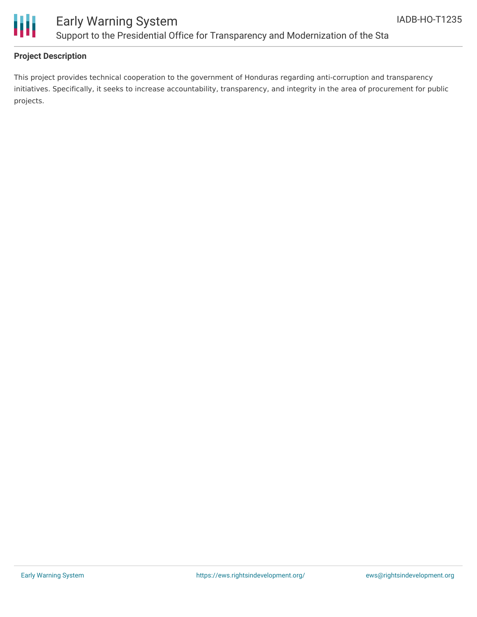

### Early Warning System Support to the Presidential Office for Transparency and Modernization of the Sta

#### **Project Description**

This project provides technical cooperation to the government of Honduras regarding anti-corruption and transparency initiatives. Specifically, it seeks to increase accountability, transparency, and integrity in the area of procurement for public projects.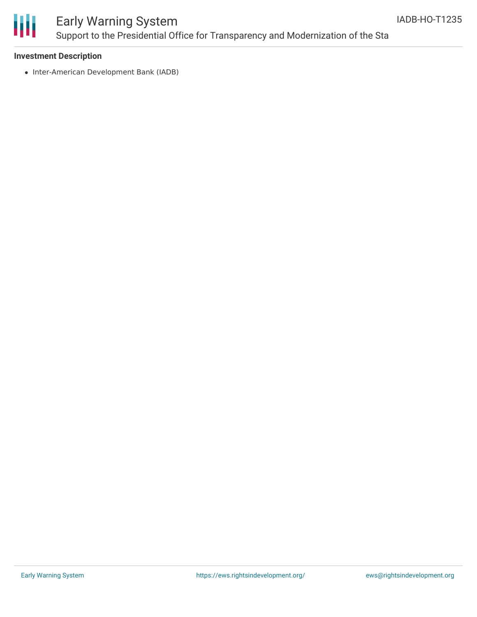

## Early Warning System Support to the Presidential Office for Transparency and Modernization of the Sta

#### **Investment Description**

• Inter-American Development Bank (IADB)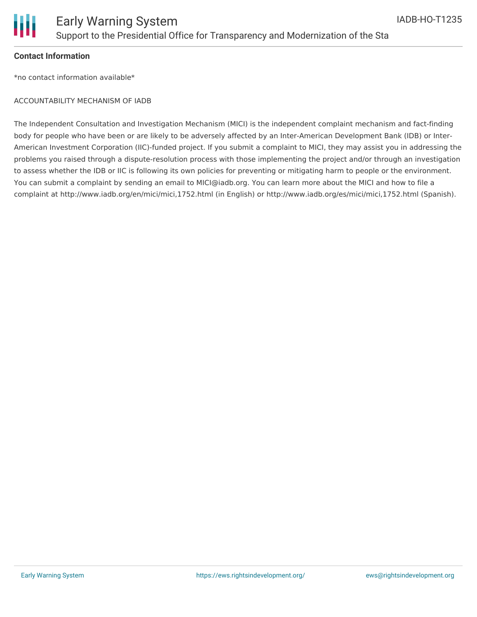

#### **Contact Information**

\*no contact information available\*

#### ACCOUNTABILITY MECHANISM OF IADB

The Independent Consultation and Investigation Mechanism (MICI) is the independent complaint mechanism and fact-finding body for people who have been or are likely to be adversely affected by an Inter-American Development Bank (IDB) or Inter-American Investment Corporation (IIC)-funded project. If you submit a complaint to MICI, they may assist you in addressing the problems you raised through a dispute-resolution process with those implementing the project and/or through an investigation to assess whether the IDB or IIC is following its own policies for preventing or mitigating harm to people or the environment. You can submit a complaint by sending an email to MICI@iadb.org. You can learn more about the MICI and how to file a complaint at http://www.iadb.org/en/mici/mici,1752.html (in English) or http://www.iadb.org/es/mici/mici,1752.html (Spanish).